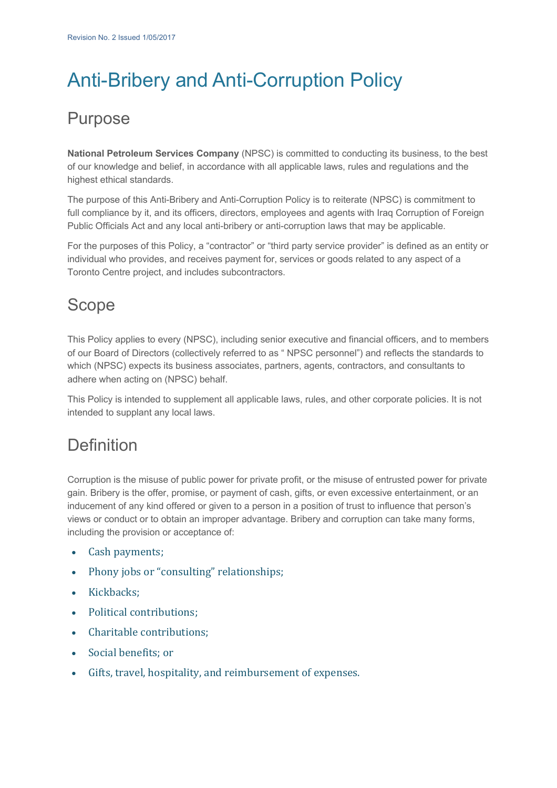# Anti-Bribery and Anti-Corruption Policy

## Purpose

**National Petroleum Services Company** (NPSC) is committed to conducting its business, to the best of our knowledge and belief, in accordance with all applicable laws, rules and regulations and the highest ethical standards.

The purpose of this Anti-Bribery and Anti-Corruption Policy is to reiterate (NPSC) is commitment to full compliance by it, and its officers, directors, employees and agents with Iraq Corruption of Foreign Public Officials Act and any local anti-bribery or anti-corruption laws that may be applicable.

For the purposes of this Policy, a "contractor" or "third party service provider" is defined as an entity or individual who provides, and receives payment for, services or goods related to any aspect of a Toronto Centre project, and includes subcontractors.

### Scope

This Policy applies to every (NPSC), including senior executive and financial officers, and to members of our Board of Directors (collectively referred to as " NPSC personnel") and reflects the standards to which (NPSC) expects its business associates, partners, agents, contractors, and consultants to adhere when acting on (NPSC) behalf.

This Policy is intended to supplement all applicable laws, rules, and other corporate policies. It is not intended to supplant any local laws.

#### **Definition**

Corruption is the misuse of public power for private profit, or the misuse of entrusted power for private gain. Bribery is the offer, promise, or payment of cash, gifts, or even excessive entertainment, or an inducement of any kind offered or given to a person in a position of trust to influence that person's views or conduct or to obtain an improper advantage. Bribery and corruption can take many forms, including the provision or acceptance of:

- Cash payments;
- Phony jobs or "consulting" relationships;
- Kickbacks;
- Political contributions:
- Charitable contributions:
- Social benefits: or
- Gifts, travel, hospitality, and reimbursement of expenses.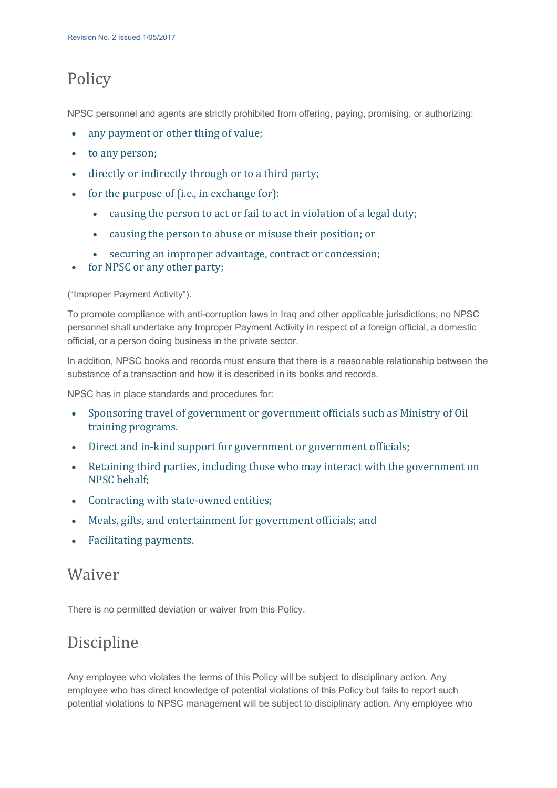#### Policy

NPSC personnel and agents are strictly prohibited from offering, paying, promising, or authorizing:

- any payment or other thing of value;
- to any person;
- directly or indirectly through or to a third party;
- for the purpose of (i.e., in exchange for):
	- causing the person to act or fail to act in violation of a legal duty;
	- causing the person to abuse or misuse their position; or
	- securing an improper advantage, contract or concession;
- for NPSC or any other party;

("Improper Payment Activity").

To promote compliance with anti-corruption laws in Iraq and other applicable jurisdictions, no NPSC personnel shall undertake any Improper Payment Activity in respect of a foreign official, a domestic official, or a person doing business in the private sector.

In addition, NPSC books and records must ensure that there is a reasonable relationship between the substance of a transaction and how it is described in its books and records.

NPSC has in place standards and procedures for:

- Sponsoring travel of government or government officials such as Ministry of Oil training programs.
- Direct and in-kind support for government or government officials;
- Retaining third parties, including those who may interact with the government on NPSC behalf:
- Contracting with state-owned entities:
- Meals, gifts, and entertainment for government officials; and
- Facilitating payments.

#### Waiver

There is no permitted deviation or waiver from this Policy.

#### Discipline

Any employee who violates the terms of this Policy will be subject to disciplinary action. Any employee who has direct knowledge of potential violations of this Policy but fails to report such potential violations to NPSC management will be subject to disciplinary action. Any employee who